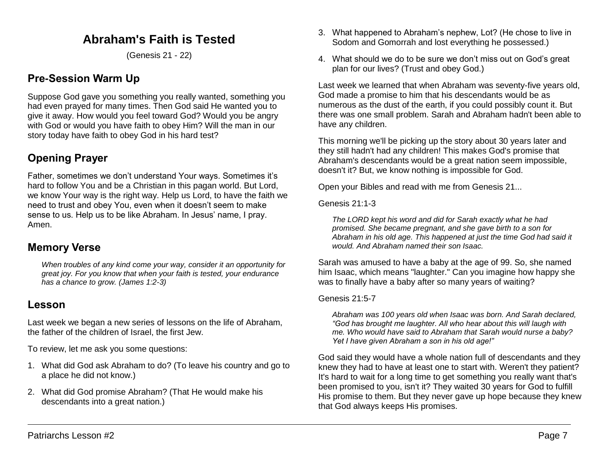# **Abraham's Faith is Tested**

(Genesis 21 - 22)

# **Pre-Session Warm Up**

Suppose God gave you something you really wanted, something you had even prayed for many times. Then God said He wanted you to give it away. How would you feel toward God? Would you be angry with God or would you have faith to obey Him? Will the man in our story today have faith to obey God in his hard test?

# **Opening Prayer**

Father, sometimes we don't understand Your ways. Sometimes it's hard to follow You and be a Christian in this pagan world. But Lord, we know Your way is the right way. Help us Lord, to have the faith we need to trust and obey You, even when it doesn't seem to make sense to us. Help us to be like Abraham. In Jesus' name, I pray. Amen.

### **Memory Verse**

*When troubles of any kind come your way, consider it an opportunity for great joy. For you know that when your faith is tested, your endurance has a chance to grow. (James 1:2-3)*

### **Lesson**

Last week we began a new series of lessons on the life of Abraham, the father of the children of Israel, the first Jew.

To review, let me ask you some questions:

- 1. What did God ask Abraham to do? (To leave his country and go to a place he did not know.)
- 2. What did God promise Abraham? (That He would make his descendants into a great nation.)
- 3. What happened to Abraham's nephew, Lot? (He chose to live in Sodom and Gomorrah and lost everything he possessed.)
- 4. What should we do to be sure we don't miss out on God's great plan for our lives? (Trust and obey God.)

Last week we learned that when Abraham was seventy-five years old, God made a promise to him that his descendants would be as numerous as the dust of the earth, if you could possibly count it. But there was one small problem. Sarah and Abraham hadn't been able to have any children.

This morning we'll be picking up the story about 30 years later and they still hadn't had any children! This makes God's promise that Abraham's descendants would be a great nation seem impossible, doesn't it? But, we know nothing is impossible for God.

Open your Bibles and read with me from Genesis 21...

Genesis 21:1-3

*The LORD kept his word and did for Sarah exactly what he had promised. She became pregnant, and she gave birth to a son for Abraham in his old age. This happened at just the time God had said it would. And Abraham named their son Isaac.* 

Sarah was amused to have a baby at the age of 99. So, she named him Isaac, which means "laughter." Can you imagine how happy she was to finally have a baby after so many years of waiting?

#### Genesis 21:5-7

*Abraham was 100 years old when Isaac was born. And Sarah declared, "God has brought me laughter. All who hear about this will laugh with me. Who would have said to Abraham that Sarah would nurse a baby? Yet I have given Abraham a son in his old age!"* 

God said they would have a whole nation full of descendants and they knew they had to have at least one to start with. Weren't they patient? It's hard to wait for a long time to get something you really want that's been promised to you, isn't it? They waited 30 years for God to fulfill His promise to them. But they never gave up hope because they knew that God always keeps His promises.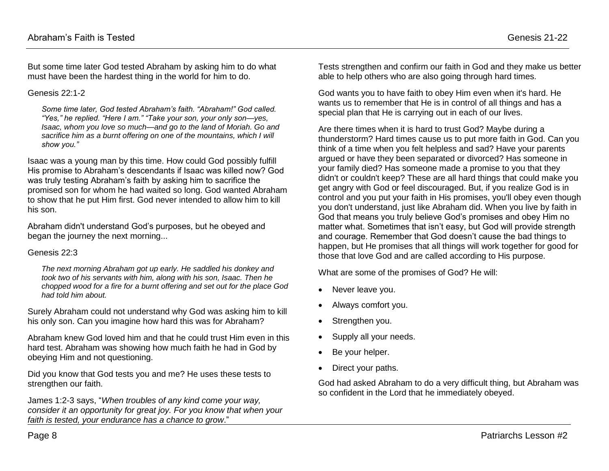But some time later God tested Abraham by asking him to do what must have been the hardest thing in the world for him to do.

#### Genesis 22:1-2

*Some time later, God tested Abraham's faith. "Abraham!" God called. "Yes," he replied. "Here I am." "Take your son, your only son—yes, Isaac, whom you love so much—and go to the land of Moriah. Go and sacrifice him as a burnt offering on one of the mountains, which I will show you."*

Isaac was a young man by this time. How could God possibly fulfill His promise to Abraham's descendants if Isaac was killed now? God was truly testing Abraham's faith by asking him to sacrifice the promised son for whom he had waited so long. God wanted Abraham to show that he put Him first. God never intended to allow him to kill his son.

Abraham didn't understand God's purposes, but he obeyed and began the journey the next morning...

#### Genesis 22:3

*The next morning Abraham got up early. He saddled his donkey and took two of his servants with him, along with his son, Isaac. Then he chopped wood for a fire for a burnt offering and set out for the place God had told him about.*

Surely Abraham could not understand why God was asking him to kill his only son. Can you imagine how hard this was for Abraham?

Abraham knew God loved him and that he could trust Him even in this hard test. Abraham was showing how much faith he had in God by obeying Him and not questioning.

Did you know that God tests you and me? He uses these tests to strengthen our faith.

James 1:2-3 says, "*When troubles of any kind come your way, consider it an opportunity for great joy. For you know that when your faith is tested, your endurance has a chance to grow*."

Tests strengthen and confirm our faith in God and they make us better able to help others who are also going through hard times.

God wants you to have faith to obey Him even when it's hard. He wants us to remember that He is in control of all things and has a special plan that He is carrying out in each of our lives.

Are there times when it is hard to trust God? Maybe during a thunderstorm? Hard times cause us to put more faith in God. Can you think of a time when you felt helpless and sad? Have your parents argued or have they been separated or divorced? Has someone in your family died? Has someone made a promise to you that they didn't or couldn't keep? These are all hard things that could make you get angry with God or feel discouraged. But, if you realize God is in control and you put your faith in His promises, you'll obey even though you don't understand, just like Abraham did. When you live by faith in God that means you truly believe God's promises and obey Him no matter what. Sometimes that isn't easy, but God will provide strength and courage. Remember that God doesn't cause the bad things to happen, but He promises that all things will work together for good for those that love God and are called according to His purpose.

What are some of the promises of God? He will:

- Never leave you.
- Always comfort you.
- Strengthen you.
- Supply all your needs.
- Be your helper.
- Direct your paths.

God had asked Abraham to do a very difficult thing, but Abraham was so confident in the Lord that he immediately obeyed.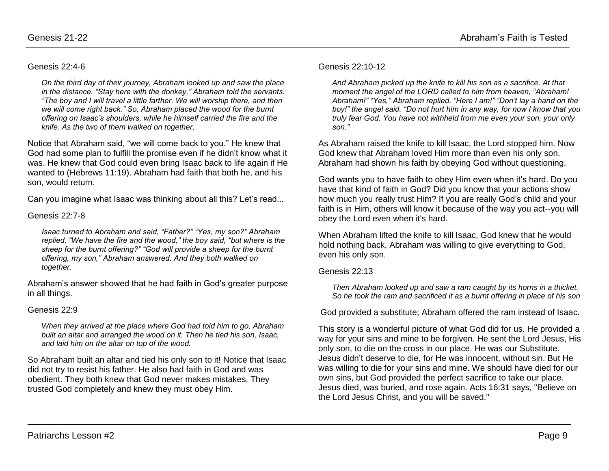#### Genesis 22:4-6

*On the third day of their journey, Abraham looked up and saw the place in the distance. "Stay here with the donkey," Abraham told the servants. "The boy and I will travel a little farther. We will worship there, and then we will come right back." So, Abraham placed the wood for the burnt offering on Isaac's shoulders, while he himself carried the fire and the knife. As the two of them walked on together,* 

Notice that Abraham said, "we will come back to you." He knew that God had some plan to fulfill the promise even if he didn't know what it was. He knew that God could even bring Isaac back to life again if He wanted to (Hebrews 11:19). Abraham had faith that both he, and his son, would return.

Can you imagine what Isaac was thinking about all this? Let's read...

#### Genesis 22:7-8

*Isaac turned to Abraham and said, "Father?" "Yes, my son?" Abraham replied. "We have the fire and the wood," the boy said, "but where is the sheep for the burnt offering?" "God will provide a sheep for the burnt offering, my son," Abraham answered. And they both walked on together.* 

Abraham's answer showed that he had faith in God's greater purpose in all things.

#### Genesis 22:9

*When they arrived at the place where God had told him to go, Abraham built an altar and arranged the wood on it. Then he tied his son, Isaac, and laid him on the altar on top of the wood.*

So Abraham built an altar and tied his only son to it! Notice that Isaac did not try to resist his father. He also had faith in God and was obedient. They both knew that God never makes mistakes. They trusted God completely and knew they must obey Him.

#### Genesis 22:10-12

*And Abraham picked up the knife to kill his son as a sacrifice. At that moment the angel of the LORD called to him from heaven, "Abraham! Abraham!" "Yes," Abraham replied. "Here I am!" "Don't lay a hand on the boy!" the angel said. "Do not hurt him in any way, for now I know that you truly fear God. You have not withheld from me even your son, your only son."* 

As Abraham raised the knife to kill Isaac, the Lord stopped him. Now God knew that Abraham loved Him more than even his only son. Abraham had shown his faith by obeying God without questioning.

God wants you to have faith to obey Him even when it's hard. Do you have that kind of faith in God? Did you know that your actions show how much you really trust Him? If you are really God's child and your faith is in Him, others will know it because of the way you act--you will obey the Lord even when it's hard.

When Abraham lifted the knife to kill Isaac, God knew that he would hold nothing back, Abraham was willing to give everything to God, even his only son.

#### Genesis 22:13

*Then Abraham looked up and saw a ram caught by its horns in a thicket. So he took the ram and sacrificed it as a burnt offering in place of his son*

God provided a substitute; Abraham offered the ram instead of Isaac.

This story is a wonderful picture of what God did for us. He provided a way for your sins and mine to be forgiven. He sent the Lord Jesus, His only son, to die on the cross in our place. He was our Substitute. Jesus didn't deserve to die, for He was innocent, without sin. But He was willing to die for your sins and mine. We should have died for our own sins, but God provided the perfect sacrifice to take our place. Jesus died, was buried, and rose again. Acts 16:31 says, "Believe on the Lord Jesus Christ, and you will be saved."